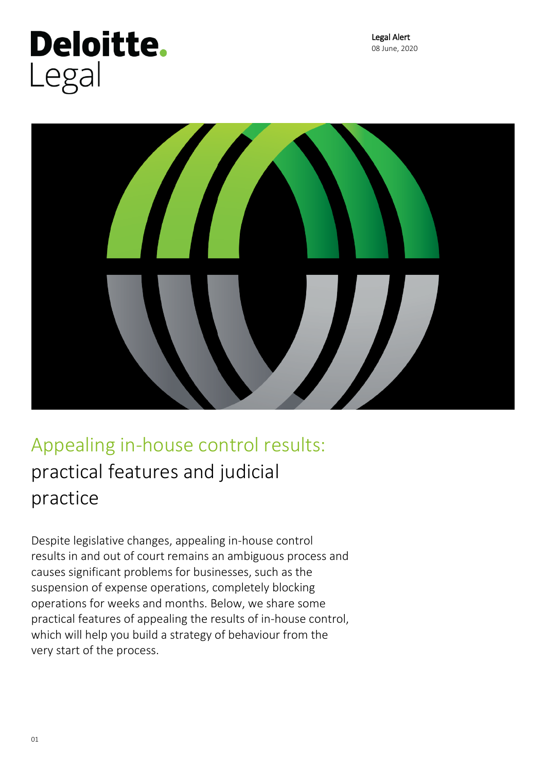# **Deloitte.** Legal



# Appealing in-house control results: practical features and judicial practice

Despite legislative changes, appealing in-house control results in and out of court remains an ambiguous process and causes significant problems for businesses, such as the suspension of expense operations, completely blocking operations for weeks and months. Below, we share some practical features of appealing the results of in-house control, which will help you build a strategy of behaviour from the very start of the process.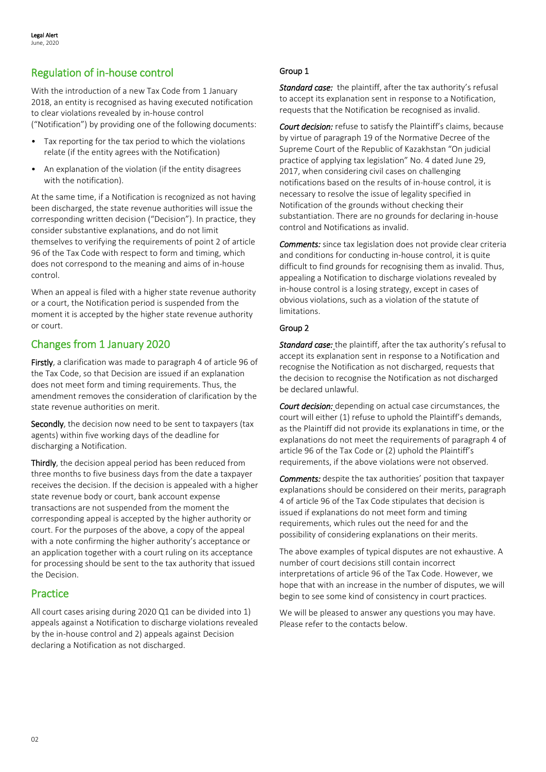# Regulation of in-house control

With the introduction of a new Tax Code from 1 January 2018, an entity is recognised as having executed notification to clear violations revealed by in-house control ("Notification") by providing one of the following documents:

- Tax reporting for the tax period to which the violations relate (if the entity agrees with the Notification)
- An explanation of the violation (if the entity disagrees with the notification).

At the same time, if a Notification is recognized as not having been discharged, the state revenue authorities will issue the corresponding written decision ("Decision"). In practice, they consider substantive explanations, and do not limit themselves to verifying the requirements of point 2 of article 96 of the Tax Code with respect to form and timing, which does not correspond to the meaning and aims of in-house control.

When an appeal is filed with a higher state revenue authority or a court, the Notification period is suspended from the moment it is accepted by the higher state revenue authority or court.

## Changes from 1 January 2020

Firstly, a clarification was made to paragraph 4 of article 96 of the Tax Code, so that Decision are issued if an explanation does not meet form and timing requirements. Thus, the amendment removes the consideration of clarification by the state revenue authorities on merit.

Secondly, the decision now need to be sent to taxpayers (tax agents) within five working days of the deadline for discharging a Notification.

Thirdly, the decision appeal period has been reduced from three months to five business days from the date a taxpayer receives the decision. If the decision is appealed with a higher state revenue body or court, bank account expense transactions are not suspended from the moment the corresponding appeal is accepted by the higher authority or court. For the purposes of the above, a copy of the appeal with a note confirming the higher authority's acceptance or an application together with a court ruling on its acceptance for processing should be sent to the tax authority that issued the Decision.

#### Practice

All court cases arising during 2020 Q1 can be divided into 1) appeals against a Notification to discharge violations revealed by the in-house control and 2) appeals against Decision declaring a Notification as not discharged.

#### Group 1

*Standard case:* the plaintiff, after the tax authority's refusal to accept its explanation sent in response to a Notification, requests that the Notification be recognised as invalid.

*Court decision:* refuse to satisfy the Plaintiff's claims, because by virtue of paragraph 19 of the Normative Decree of the Supreme Court of the Republic of Kazakhstan "On judicial practice of applying tax legislation" No. 4 dated June 29, 2017, when considering civil cases on challenging notifications based on the results of in-house control, it is necessary to resolve the issue of legality specified in Notification of the grounds without checking their substantiation. There are no grounds for declaring in-house control and Notifications as invalid.

*Comments:* since tax legislation does not provide clear criteria and conditions for conducting in-house control, it is quite difficult to find grounds for recognising them as invalid. Thus, appealing a Notification to discharge violations revealed by in-house control is a losing strategy, except in cases of obvious violations, such as a violation of the statute of limitations.

#### Group 2

*Standard case:* the plaintiff, after the tax authority's refusal to accept its explanation sent in response to a Notification and recognise the Notification as not discharged, requests that the decision to recognise the Notification as not discharged be declared unlawful.

*Court decision:* depending on actual case circumstances, the court will either (1) refuse to uphold the Plaintiff's demands, as the Plaintiff did not provide its explanations in time, or the explanations do not meet the requirements of paragraph 4 of article 96 of the Tax Code or (2) uphold the Plaintiff's requirements, if the above violations were not observed.

*Comments:* despite the tax authorities' position that taxpayer explanations should be considered on their merits, paragraph 4 of article 96 of the Tax Code stipulates that decision is issued if explanations do not meet form and timing requirements, which rules out the need for and the possibility of considering explanations on their merits.

The above examples of typical disputes are not exhaustive. A number of court decisions still contain incorrect interpretations of article 96 of the Tax Code. However, we hope that with an increase in the number of disputes, we will begin to see some kind of consistency in court practices.

We will be pleased to answer any questions you may have. Please refer to the contacts below.